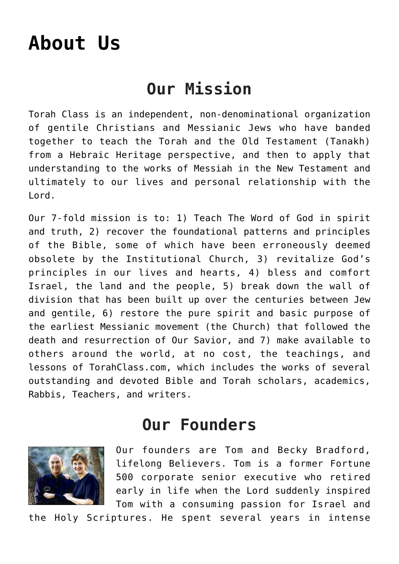## **[About Us](https://torahclass.com/about-us/)**

## **Our Mission**

Torah Class is an independent, non-denominational organization of gentile Christians and Messianic Jews who have banded together to teach the Torah and the Old Testament (Tanakh) from a Hebraic Heritage perspective, and then to apply that understanding to the works of Messiah in the New Testament and ultimately to our lives and personal relationship with the Lord.

Our 7-fold mission is to: 1) Teach The Word of God in spirit and truth, 2) recover the foundational patterns and principles of the Bible, some of which have been erroneously deemed obsolete by the Institutional Church, 3) revitalize God's principles in our lives and hearts, 4) bless and comfort Israel, the land and the people, 5) break down the wall of division that has been built up over the centuries between Jew and gentile, 6) restore the pure spirit and basic purpose of the earliest Messianic movement (the Church) that followed the death and resurrection of Our Savior, and 7) make available to others around the world, at no cost, the teachings, and lessons of TorahClass.com, which includes the works of several outstanding and devoted Bible and Torah scholars, academics, Rabbis, Teachers, and writers.

## **Our Founders**



Our founders are Tom and Becky Bradford, lifelong Believers. Tom is a former Fortune 500 corporate senior executive who retired early in life when the Lord suddenly inspired Tom with a consuming passion for Israel and

the Holy Scriptures. He spent several years in intense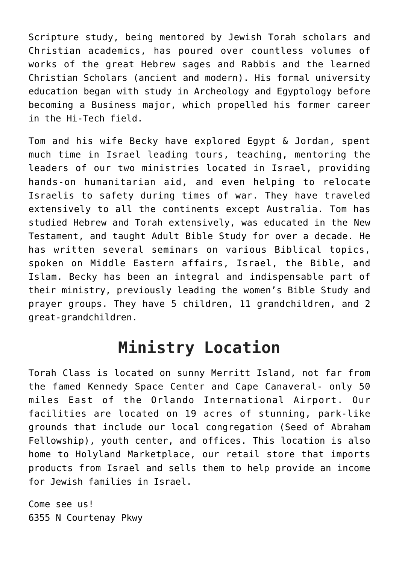Scripture study, being mentored by Jewish Torah scholars and Christian academics, has poured over countless volumes of works of the great Hebrew sages and Rabbis and the learned Christian Scholars (ancient and modern). His formal university education began with study in Archeology and Egyptology before becoming a Business major, which propelled his former career in the Hi-Tech field.

Tom and his wife Becky have explored Egypt & Jordan, spent much time in Israel leading tours, teaching, mentoring the leaders of our two ministries located in Israel, providing hands-on humanitarian aid, and even helping to relocate Israelis to safety during times of war. They have traveled extensively to all the continents except Australia. Tom has studied Hebrew and Torah extensively, was educated in the New Testament, and taught Adult Bible Study for over a decade. He has written several seminars on various Biblical topics, spoken on Middle Eastern affairs, Israel, the Bible, and Islam. Becky has been an integral and indispensable part of their ministry, previously leading the women's Bible Study and prayer groups. They have 5 children, 11 grandchildren, and 2 great-grandchildren.

## **Ministry Location**

Torah Class is located on sunny Merritt Island, not far from the famed Kennedy Space Center and Cape Canaveral- only 50 miles East of the Orlando International Airport. Our facilities are located on 19 acres of stunning, park-like grounds that include our local congregation (Seed of Abraham Fellowship), youth center, and offices. This location is also home to Holyland Marketplace, our retail store that imports products from Israel and sells them to help provide an income for Jewish families in Israel.

Come see us! 6355 N Courtenay Pkwy